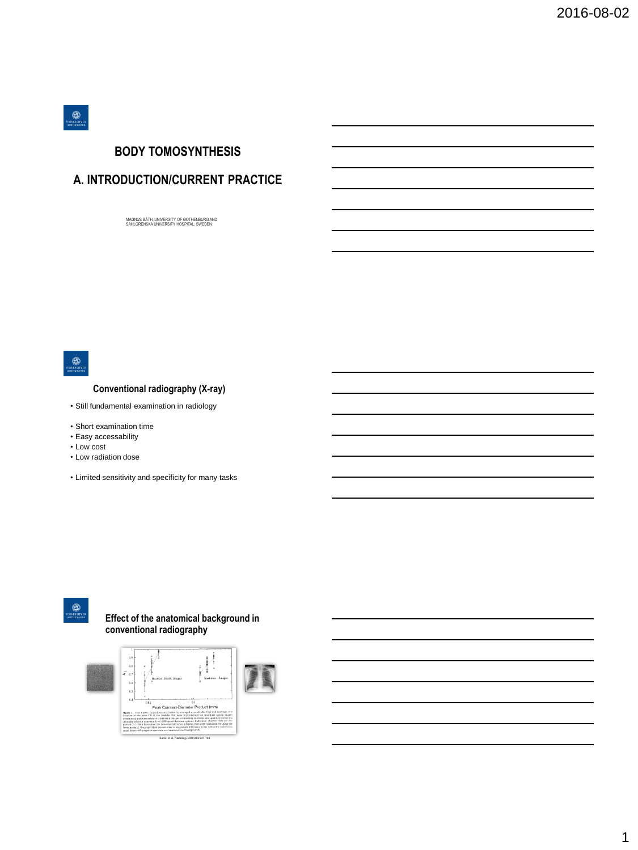## **BODY TOMOSYNTHESIS**

## **A. INTRODUCTION/CURRENT PRACTICE**

MAGNUS BÅTH, UNIVERSITY OF GOTHENBURG AND SAHLGRENSKA UNIVERSITY HOSPITAL, SWEDEN

 $\circledcirc$ 

## **Conventional radiography (X-ray)**

• Still fundamental examination in radiology

- Short examination time
- Easy accessability
- Low cost
- Low radiation dose

• Limited sensitivity and specificity for many tasks



#### **Effect of the anatomical background in conventional radiography**

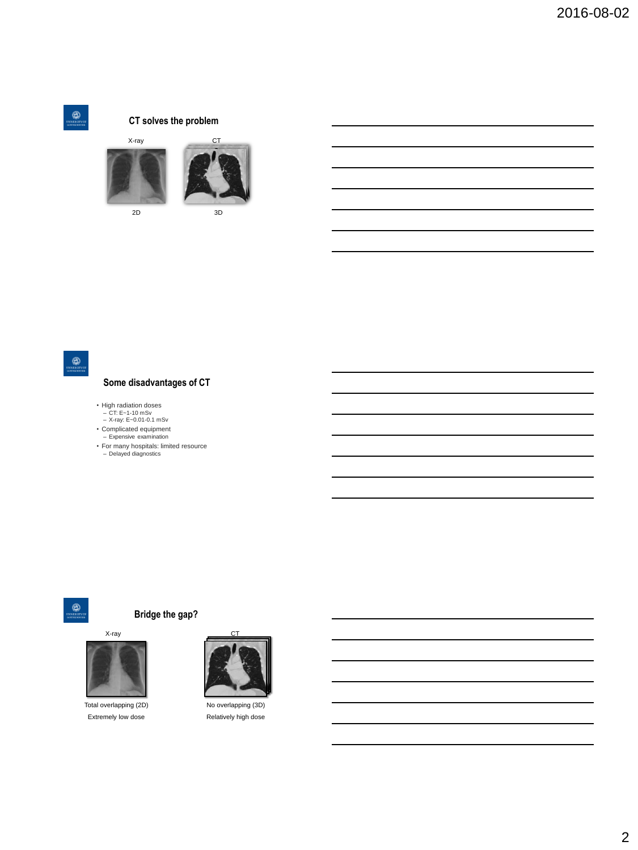

## **CT solves the problem**



 $\bigoplus_{\text{INIVZASTY C}}$ 

## **Some disadvantages of CT**

- High radiation doses CT: E~1-10 mSv X-ray: E~0.01-0.1 mSv
- 
- 
- Complicated equipment Expensive examination For many hospitals: limited resource Delayed diagnostics
- 

 $\circledcirc$ 

## **Bridge the gap?**



Total overlapping (2D) Extremely low dose



No overlapping (3D) Relatively high dose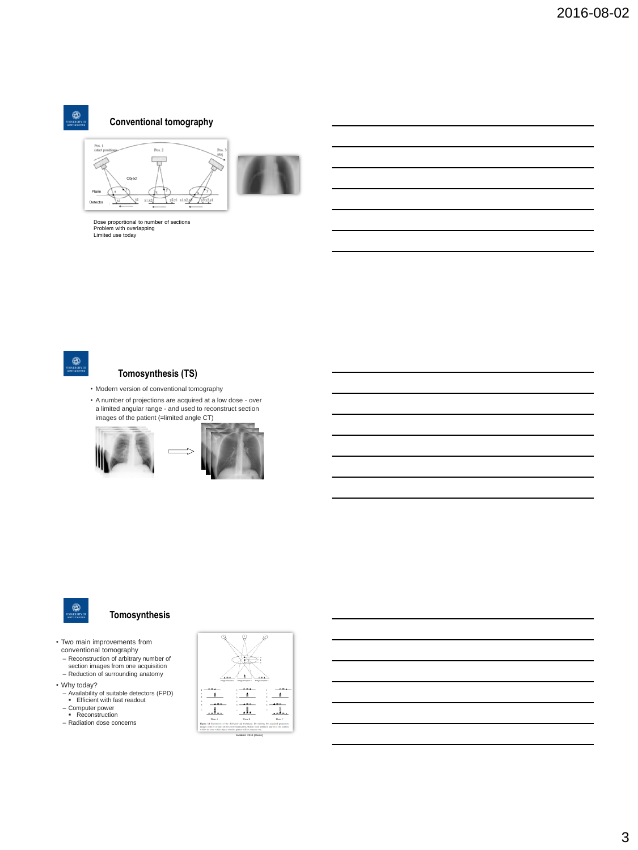

#### **Conventional tomography**



Dose proportional to number of sections Problem with overlapping Limited use today

 $\circledcirc$ 

#### **Tomosynthesis (TS)**

- Modern version of conventional tomography
- A number of projections are acquired at a low dose over a limited angular range and used to reconstruct section images of the patient (=limited angle CT)





## **Tomosynthesis**

- Two main improvements from conventional tomography
- Reconstruction of arbitrary number of section images from one acquisition – Reduction of surrounding anatomy
- Why today?
- Availability of suitable detectors (FPD) Efficient with fast readout
- Computer power Reconstruction
- 
- Radiation dose concerns

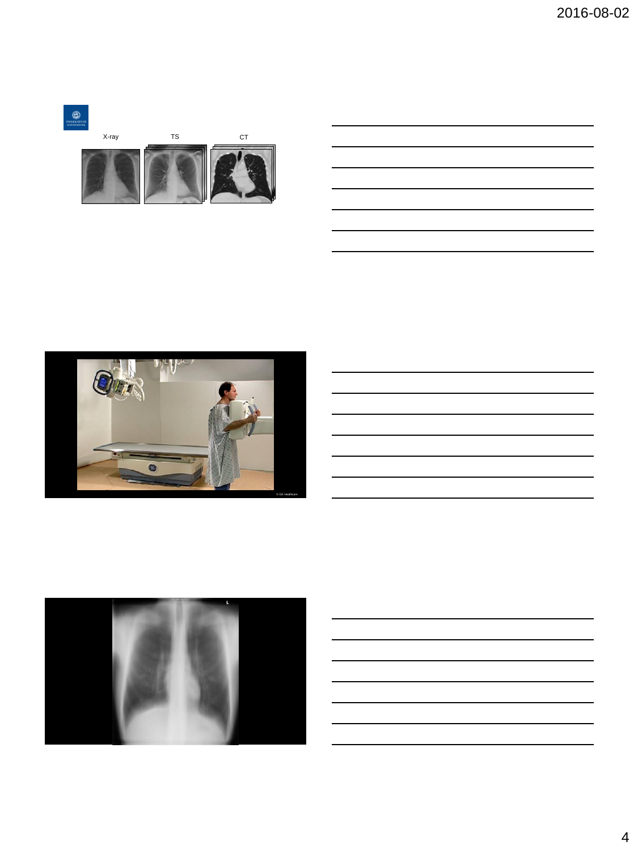# X-ray TS CT





4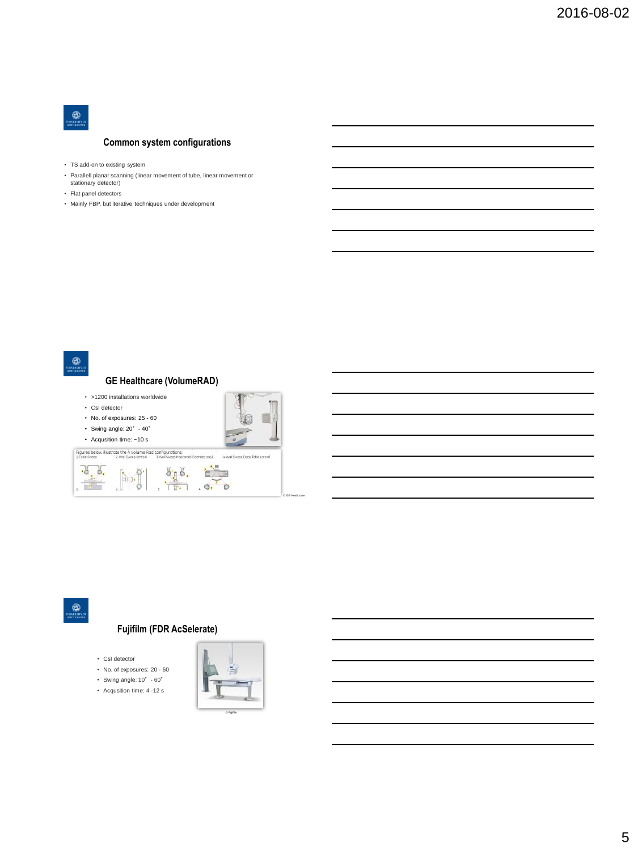## **Common system configurations**

- TS add-on to existing system
- Parallell planar scanning (linear movement of tube, linear movement or stationary detector)
- Flat panel detectors
- Mainly FBP, but iterative techniques under development

 $\circledcirc$ 

## **GE Healthcare (VolumeRAD)**

• >1200 installations worldwide

• Swing angle: 20° - 40° • Acqusition time: ~10 s

• CsI detector • No. of exposures: 25 - 60



© GE Healthcare

Figures below illustrate the 4 Volume Rad configurations<br>1-Table Sweep 2-Wall Sweep Vertical 3-Wall Sweep Hor ed only) 4-Woll Sw

|                           |   | ð.<br><b>Contract</b>         |  |
|---------------------------|---|-------------------------------|--|
| Antonio agricultura e con | - | $\overline{\phantom{a}}$<br>٠ |  |

## $\circledcirc$

## **Fujifilm (FDR AcSelerate)**

• CsI detector

- No. of exposures: 20 60
- Swing angle: 10°- 60°
- Acqusition time: 4 -12 s



© Fujifilm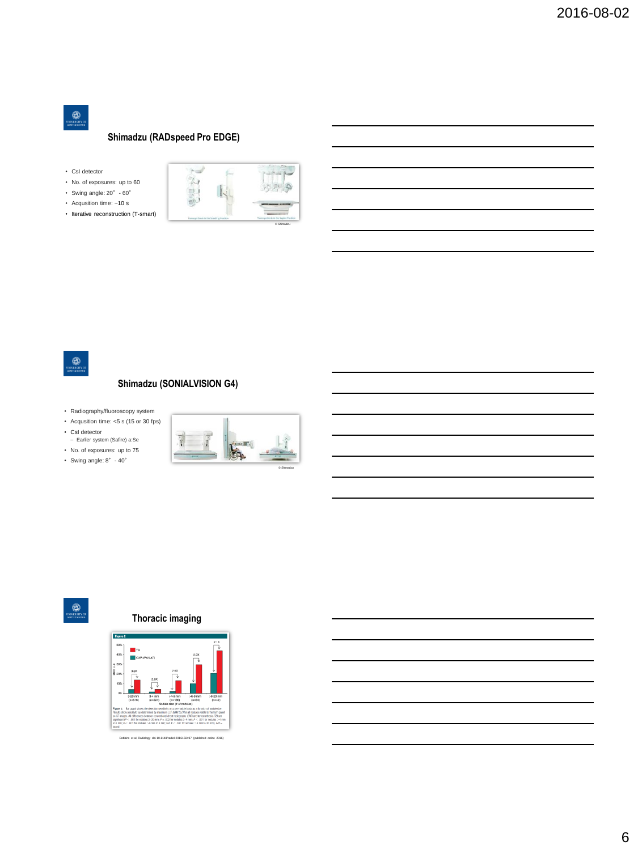## **Shimadzu (RADspeed Pro EDGE)**

- CsI detector
- No. of exposures: up to 60
- Swing angle: 20°- 60°
- Acqusition time: ~10 s
- Iterative reconstruction (T-smart)





## **Shimadzu (SONIALVISION G4)**

- Radiography/fluoroscopy system
- Acqusition time: <5 s (15 or 30 fps)
- CsI detector
- Earlier system (Safire) a:Se
- No. of exposures: up to 75
- Swing angle:  $8^\circ$   $40^\circ$



 $\circledcirc$ 

## **Thoracic imaging**



Dobbins et al, Radiology doi 10.1148/radiol.2016150497 (published online 2016)

6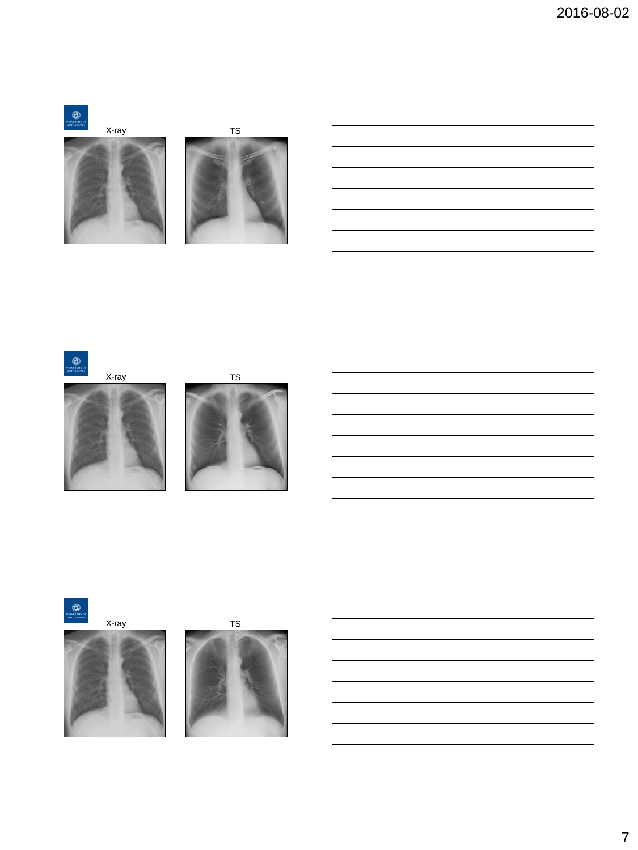# $5878$





# $<sup>•</sup>$ </sup>









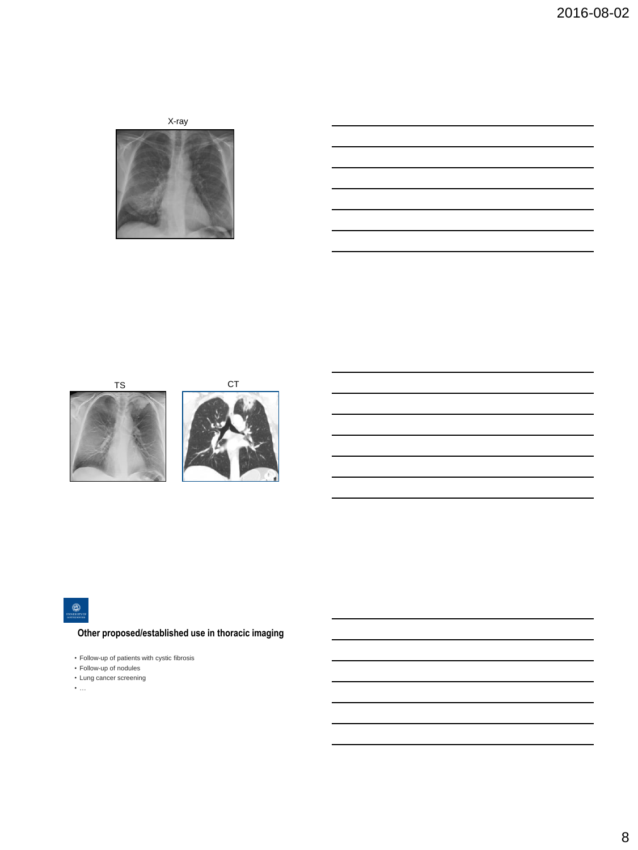X-ray







# $<sup>1</sup>$ </sup>

## **Other proposed/established use in thoracic imaging**

- Follow-up of patients with cystic fibrosis
- Follow-up of nodules
- Lung cancer screening
- …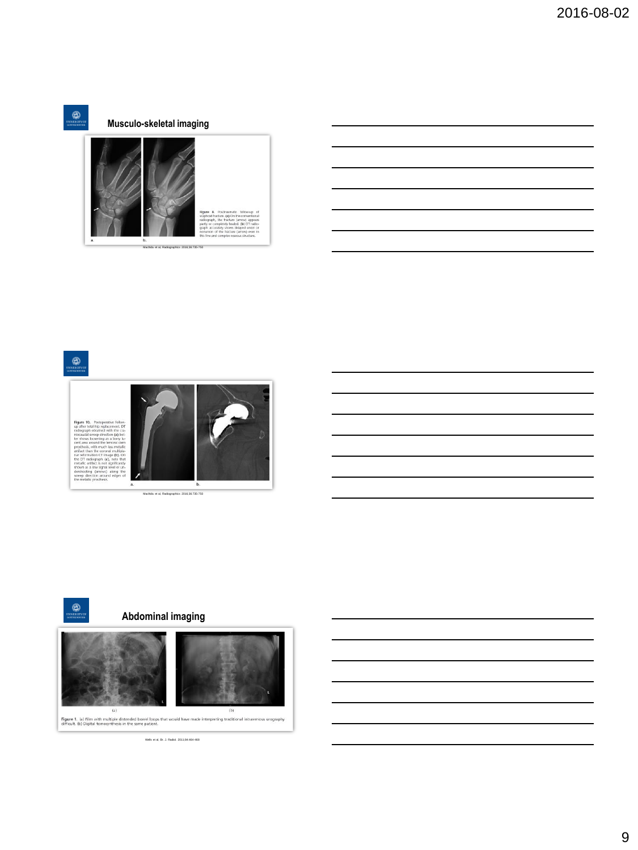

## **Musculo-skeletal imaging**





 $\circledcirc$ 



Machida et al, Radiographics 2016;36:735-750





Wells et al, Br. J. Radiol. 2011;84:464-468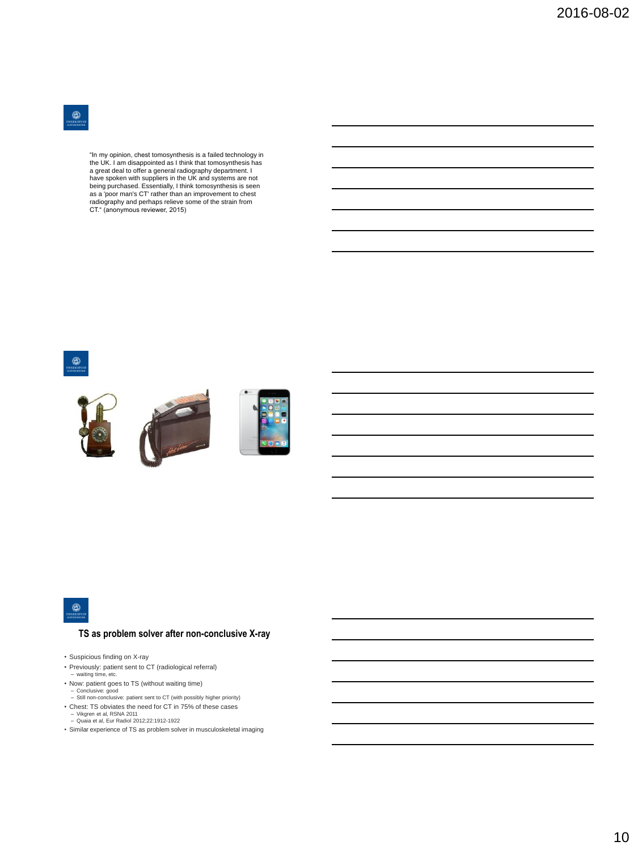$\circledast$ 

"In my opinion, chest tomosynthesis is a failed technology in the UK. I am disappointed as I think that tomosynthesis has a great deal to offer a general radiography department. I have spoken with suppliers in the UK and systems are not being purchased. Essentially, I think tomosynthesis is seen as a 'poor man's CT' rather than an improvement to chest radiography and perhaps relieve some of the strain from CT." (anonymous reviewer, 2015)







#### **TS as problem solver after non-conclusive X-ray**

• Suspicious finding on X-ray

- Previously: patient sent to CT (radiological referral) waiting time, etc.
- 
- Now: patient goes to TS (without waiting time) Conclusive: good Still non-conclusive: patient sent to CT (with possibly higher priority)
- 
- Chest: TS obviates the need for CT in 75% of these cases
	- Vikgren et al, RSNA 2011 Quaia et al, Eur Radiol 2012;22:1912-1922
- Similar experience of TS as problem solver in musculoskeletal imaging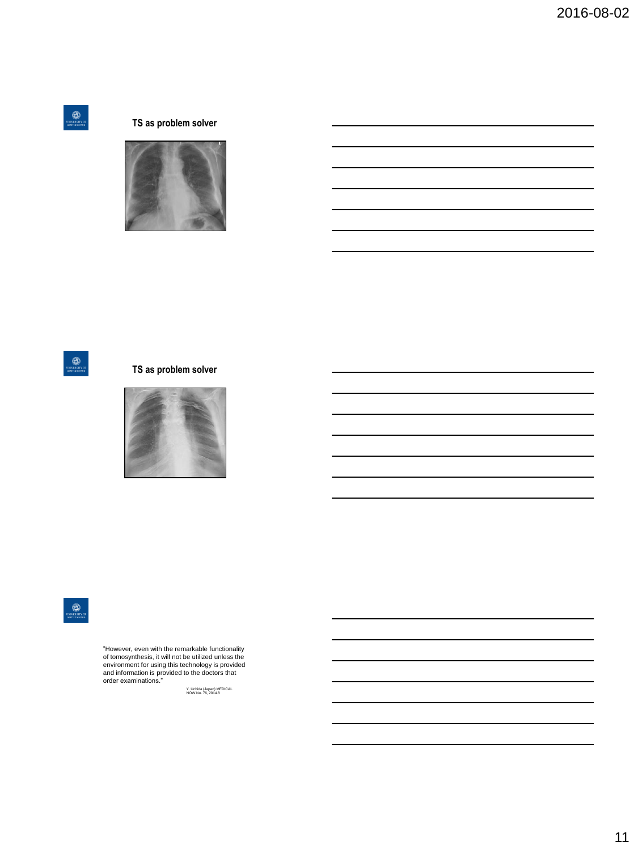## **TS as problem solver**





## **TS as problem solver**





"However, even with the remarkable functionality of tomosynthesis, it will not be utilized unless the environment for using this technology is provided and information is provided to the doctors that order examinations."

Y. Uchida (Japan) MEDICAL NOW No. 76, 2014.8